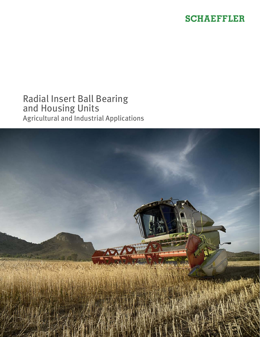#### **SCHAEFFLER**

#### Radial Insert Ball Bearing and Housing Units Agricultural and Industrial Applications

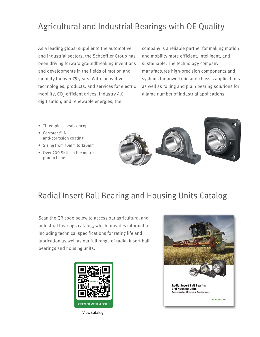## Agricultural and Industrial Bearings with OE Quality

As a leading global supplier to the automotive and industrial sectors, the Schaeffler Group has been driving forward groundbreaking inventions and developments in the fields of motion and mobility for over 75 years. With innovative technologies, products, and services for electric mobility, CO<sub>2</sub>-efficient drives, Industry 4.0, digitization, and renewable energies, the

company is a reliable partner for making motion and mobility more efficient, intelligent, and sustainable. The technology company manufactures high-precision components and systems for powertrain and chassis applications as well as rolling and plain bearing solutions for a large number of industrial applications.

- Three-piece seal concept
- Corrotect®-N anti-corrosion coating
- Sizing from 10mm to 120mm
- Over 200 SKUs in the metric product line





## Radial Insert Ball Bearing and Housing Units Catalog

Scan the QR code below to access our agricultural and industrial bearings catalog, which provides information including technical specifications for rating life and lubrication as well as our full range of radial insert ball bearings and housing units.



View catalog

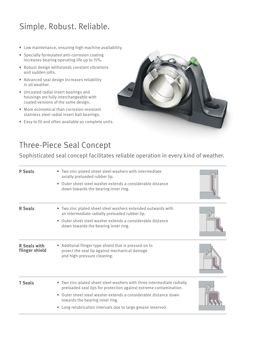# Simple. Robust. Reliable.

- Low maintenance, ensuring high machine availability.
- Specially formulated anti-corrosion coating increases bearing operating life up to 15%.
- Robust design withstands constant vibrations and sudden jolts.
- Advanced seal design increases reliability in all weather.
- Uncoated radial insert bearings and housings are fully interchangeable with coated versions of the same design.
- More economical than corrosion-resistant stainless steel radial insert ball bearings.
- Easy to fit and often available as complete units.



## Three-Piece Seal Concept

Sophisticated seal concept facilitates reliable operation in every kind of weather.

| <b>P</b> Seals                        | Two zinc-plated sheet steel washers with intermediate<br>axially preloaded rubber lip.<br>• Outer sheet steel washer extends a considerable distance<br>down towards the bearing inner ring.                                                                                                                     |  |
|---------------------------------------|------------------------------------------------------------------------------------------------------------------------------------------------------------------------------------------------------------------------------------------------------------------------------------------------------------------|--|
| <b>R</b> Seals                        | • Two zinc plated sheet steel washers extended outwards with<br>an intermediate radially preloaded rubber lip.<br>Outer sheet steel washer extends a considerable distance<br>down towards the bearing inner ring.                                                                                               |  |
| <b>R</b> Seals with<br>flinger shield | • Additonal flinger type shield that is pressed on to<br>proect the seal lip against mechanical damage<br>and high-pressure cleaning.                                                                                                                                                                            |  |
| <b>T</b> Seals                        | • Two zinc-plated sheet steel washers with three intermediate radially<br>preloaded seal lips for protection against extreme contamination.<br>Outer sheet steel washer extends a considerable distance down<br>towards the bearing inner ring.<br>• Long relubrication intervals due to large grease reservoir. |  |